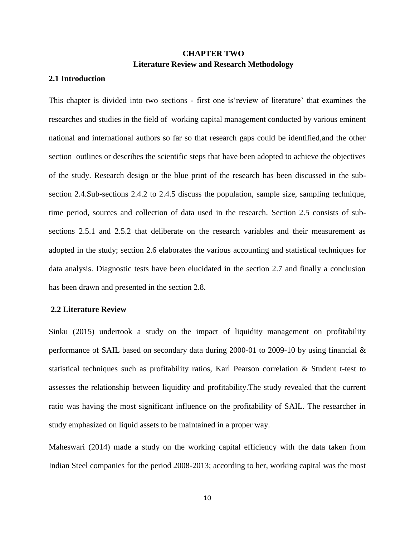# **CHAPTER TWO Literature Review and Research Methodology**

# **2.1 Introduction**

This chapter is divided into two sections - first one is'review of literature' that examines the researches and studies in the field of working capital management conducted by various eminent national and international authors so far so that research gaps could be identified,and the other section outlines or describes the scientific steps that have been adopted to achieve the objectives of the study. Research design or the blue print of the research has been discussed in the subsection 2.4.Sub-sections 2.4.2 to 2.4.5 discuss the population, sample size, sampling technique, time period, sources and collection of data used in the research. Section 2.5 consists of subsections 2.5.1 and 2.5.2 that deliberate on the research variables and their measurement as adopted in the study; section 2.6 elaborates the various accounting and statistical techniques for data analysis. Diagnostic tests have been elucidated in the section 2.7 and finally a conclusion has been drawn and presented in the section 2.8.

#### **2.2 Literature Review**

Sinku (2015) undertook a study on the impact of liquidity management on profitability performance of SAIL based on secondary data during 2000-01 to 2009-10 by using financial & statistical techniques such as profitability ratios, Karl Pearson correlation & Student t-test to assesses the relationship between liquidity and profitability.The study revealed that the current ratio was having the most significant influence on the profitability of SAIL. The researcher in study emphasized on liquid assets to be maintained in a proper way.

Maheswari (2014) made a study on the working capital efficiency with the data taken from Indian Steel companies for the period 2008-2013; according to her, working capital was the most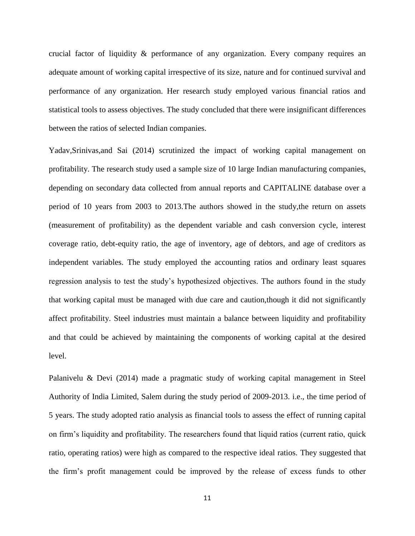crucial factor of liquidity & performance of any organization. Every company requires an adequate amount of working capital irrespective of its size, nature and for continued survival and performance of any organization. Her research study employed various financial ratios and statistical tools to assess objectives. The study concluded that there were insignificant differences between the ratios of selected Indian companies.

Yadav,Srinivas,and Sai (2014) scrutinized the impact of working capital management on profitability. The research study used a sample size of 10 large Indian manufacturing companies, depending on secondary data collected from annual reports and CAPITALINE database over a period of 10 years from 2003 to 2013.The authors showed in the study,the return on assets (measurement of profitability) as the dependent variable and cash conversion cycle, interest coverage ratio, debt-equity ratio, the age of inventory, age of debtors, and age of creditors as independent variables. The study employed the accounting ratios and ordinary least squares regression analysis to test the study's hypothesized objectives. The authors found in the study that working capital must be managed with due care and caution,though it did not significantly affect profitability. Steel industries must maintain a balance between liquidity and profitability and that could be achieved by maintaining the components of working capital at the desired level.

Palanivelu & Devi (2014) made a pragmatic study of working capital management in Steel Authority of India Limited, Salem during the study period of 2009-2013. i.e., the time period of 5 years. The study adopted ratio analysis as financial tools to assess the effect of running capital on firm's liquidity and profitability. The researchers found that liquid ratios (current ratio, quick ratio, operating ratios) were high as compared to the respective ideal ratios. They suggested that the firm's profit management could be improved by the release of excess funds to other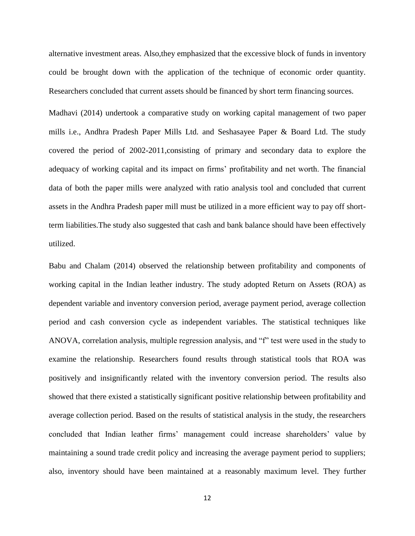alternative investment areas. Also,they emphasized that the excessive block of funds in inventory could be brought down with the application of the technique of economic order quantity. Researchers concluded that current assets should be financed by short term financing sources.

Madhavi (2014) undertook a comparative study on working capital management of two paper mills i.e., Andhra Pradesh Paper Mills Ltd. and Seshasayee Paper & Board Ltd. The study covered the period of 2002-2011,consisting of primary and secondary data to explore the adequacy of working capital and its impact on firms' profitability and net worth. The financial data of both the paper mills were analyzed with ratio analysis tool and concluded that current assets in the Andhra Pradesh paper mill must be utilized in a more efficient way to pay off shortterm liabilities.The study also suggested that cash and bank balance should have been effectively utilized.

Babu and Chalam (2014) observed the relationship between profitability and components of working capital in the Indian leather industry. The study adopted Return on Assets (ROA) as dependent variable and inventory conversion period, average payment period, average collection period and cash conversion cycle as independent variables. The statistical techniques like ANOVA, correlation analysis, multiple regression analysis, and "f" test were used in the study to examine the relationship. Researchers found results through statistical tools that ROA was positively and insignificantly related with the inventory conversion period. The results also showed that there existed a statistically significant positive relationship between profitability and average collection period. Based on the results of statistical analysis in the study, the researchers concluded that Indian leather firms' management could increase shareholders' value by maintaining a sound trade credit policy and increasing the average payment period to suppliers; also, inventory should have been maintained at a reasonably maximum level. They further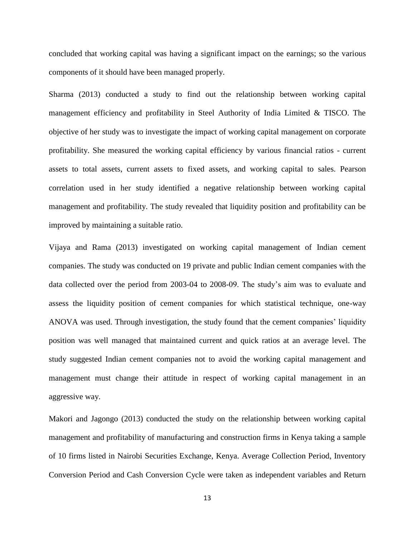concluded that working capital was having a significant impact on the earnings; so the various components of it should have been managed properly.

Sharma (2013) conducted a study to find out the relationship between working capital management efficiency and profitability in Steel Authority of India Limited & TISCO. The objective of her study was to investigate the impact of working capital management on corporate profitability. She measured the working capital efficiency by various financial ratios - current assets to total assets, current assets to fixed assets, and working capital to sales. Pearson correlation used in her study identified a negative relationship between working capital management and profitability. The study revealed that liquidity position and profitability can be improved by maintaining a suitable ratio.

Vijaya and Rama (2013) investigated on working capital management of Indian cement companies. The study was conducted on 19 private and public Indian cement companies with the data collected over the period from 2003-04 to 2008-09. The study's aim was to evaluate and assess the liquidity position of cement companies for which statistical technique, one-way ANOVA was used. Through investigation, the study found that the cement companies' liquidity position was well managed that maintained current and quick ratios at an average level. The study suggested Indian cement companies not to avoid the working capital management and management must change their attitude in respect of working capital management in an aggressive way.

Makori and Jagongo (2013) conducted the study on the relationship between working capital management and profitability of manufacturing and construction firms in Kenya taking a sample of 10 firms listed in Nairobi Securities Exchange, Kenya. Average Collection Period, Inventory Conversion Period and Cash Conversion Cycle were taken as independent variables and Return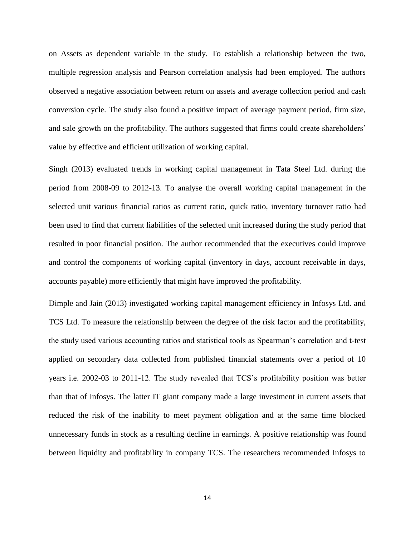on Assets as dependent variable in the study. To establish a relationship between the two, multiple regression analysis and Pearson correlation analysis had been employed. The authors observed a negative association between return on assets and average collection period and cash conversion cycle. The study also found a positive impact of average payment period, firm size, and sale growth on the profitability. The authors suggested that firms could create shareholders' value by effective and efficient utilization of working capital.

Singh (2013) evaluated trends in working capital management in Tata Steel Ltd. during the period from 2008-09 to 2012-13. To analyse the overall working capital management in the selected unit various financial ratios as current ratio, quick ratio, inventory turnover ratio had been used to find that current liabilities of the selected unit increased during the study period that resulted in poor financial position. The author recommended that the executives could improve and control the components of working capital (inventory in days, account receivable in days, accounts payable) more efficiently that might have improved the profitability.

Dimple and Jain (2013) investigated working capital management efficiency in Infosys Ltd. and TCS Ltd. To measure the relationship between the degree of the risk factor and the profitability, the study used various accounting ratios and statistical tools as Spearman's correlation and t-test applied on secondary data collected from published financial statements over a period of 10 years i.e. 2002-03 to 2011-12. The study revealed that TCS's profitability position was better than that of Infosys. The latter IT giant company made a large investment in current assets that reduced the risk of the inability to meet payment obligation and at the same time blocked unnecessary funds in stock as a resulting decline in earnings. A positive relationship was found between liquidity and profitability in company TCS. The researchers recommended Infosys to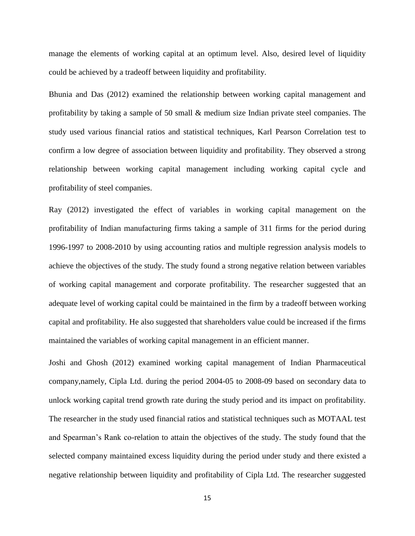manage the elements of working capital at an optimum level. Also, desired level of liquidity could be achieved by a tradeoff between liquidity and profitability.

Bhunia and Das (2012) examined the relationship between working capital management and profitability by taking a sample of 50 small & medium size Indian private steel companies. The study used various financial ratios and statistical techniques, Karl Pearson Correlation test to confirm a low degree of association between liquidity and profitability. They observed a strong relationship between working capital management including working capital cycle and profitability of steel companies.

Ray (2012) investigated the effect of variables in working capital management on the profitability of Indian manufacturing firms taking a sample of 311 firms for the period during 1996-1997 to 2008-2010 by using accounting ratios and multiple regression analysis models to achieve the objectives of the study. The study found a strong negative relation between variables of working capital management and corporate profitability. The researcher suggested that an adequate level of working capital could be maintained in the firm by a tradeoff between working capital and profitability. He also suggested that shareholders value could be increased if the firms maintained the variables of working capital management in an efficient manner.

Joshi and Ghosh (2012) examined working capital management of Indian Pharmaceutical company,namely, Cipla Ltd. during the period 2004-05 to 2008-09 based on secondary data to unlock working capital trend growth rate during the study period and its impact on profitability. The researcher in the study used financial ratios and statistical techniques such as MOTAAL test and Spearman's Rank co-relation to attain the objectives of the study. The study found that the selected company maintained excess liquidity during the period under study and there existed a negative relationship between liquidity and profitability of Cipla Ltd. The researcher suggested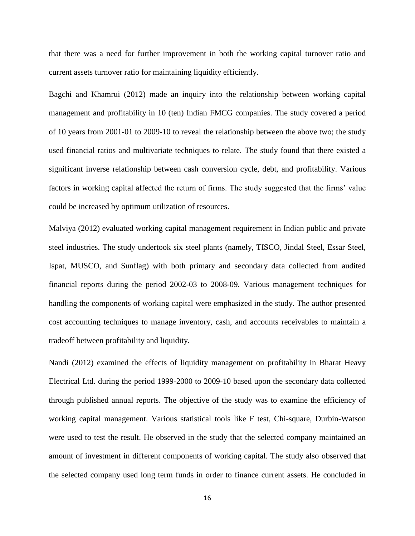that there was a need for further improvement in both the working capital turnover ratio and current assets turnover ratio for maintaining liquidity efficiently.

Bagchi and Khamrui (2012) made an inquiry into the relationship between working capital management and profitability in 10 (ten) Indian FMCG companies. The study covered a period of 10 years from 2001-01 to 2009-10 to reveal the relationship between the above two; the study used financial ratios and multivariate techniques to relate. The study found that there existed a significant inverse relationship between cash conversion cycle, debt, and profitability. Various factors in working capital affected the return of firms. The study suggested that the firms' value could be increased by optimum utilization of resources.

Malviya (2012) evaluated working capital management requirement in Indian public and private steel industries. The study undertook six steel plants (namely, TISCO, Jindal Steel, Essar Steel, Ispat, MUSCO, and Sunflag) with both primary and secondary data collected from audited financial reports during the period 2002-03 to 2008-09. Various management techniques for handling the components of working capital were emphasized in the study. The author presented cost accounting techniques to manage inventory, cash, and accounts receivables to maintain a tradeoff between profitability and liquidity.

Nandi (2012) examined the effects of liquidity management on profitability in Bharat Heavy Electrical Ltd. during the period 1999-2000 to 2009-10 based upon the secondary data collected through published annual reports. The objective of the study was to examine the efficiency of working capital management. Various statistical tools like F test, Chi-square, Durbin-Watson were used to test the result. He observed in the study that the selected company maintained an amount of investment in different components of working capital. The study also observed that the selected company used long term funds in order to finance current assets. He concluded in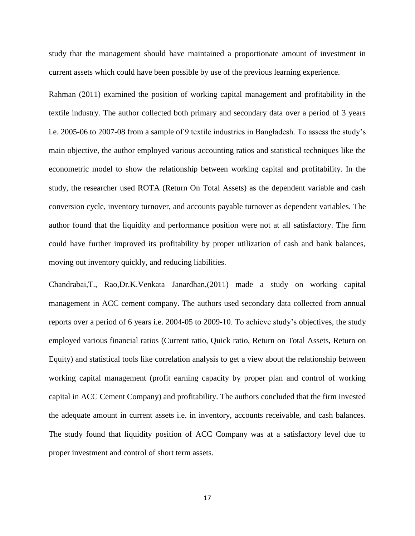study that the management should have maintained a proportionate amount of investment in current assets which could have been possible by use of the previous learning experience.

Rahman (2011) examined the position of working capital management and profitability in the textile industry. The author collected both primary and secondary data over a period of 3 years i.e. 2005-06 to 2007-08 from a sample of 9 textile industries in Bangladesh. To assess the study's main objective, the author employed various accounting ratios and statistical techniques like the econometric model to show the relationship between working capital and profitability. In the study, the researcher used ROTA (Return On Total Assets) as the dependent variable and cash conversion cycle, inventory turnover, and accounts payable turnover as dependent variables. The author found that the liquidity and performance position were not at all satisfactory. The firm could have further improved its profitability by proper utilization of cash and bank balances, moving out inventory quickly, and reducing liabilities.

Chandrabai,T., Rao,Dr.K.Venkata Janardhan,(2011) made a study on working capital management in ACC cement company. The authors used secondary data collected from annual reports over a period of 6 years i.e. 2004-05 to 2009-10. To achieve study's objectives, the study employed various financial ratios (Current ratio, Quick ratio, Return on Total Assets, Return on Equity) and statistical tools like correlation analysis to get a view about the relationship between working capital management (profit earning capacity by proper plan and control of working capital in ACC Cement Company) and profitability. The authors concluded that the firm invested the adequate amount in current assets i.e. in inventory, accounts receivable, and cash balances. The study found that liquidity position of ACC Company was at a satisfactory level due to proper investment and control of short term assets.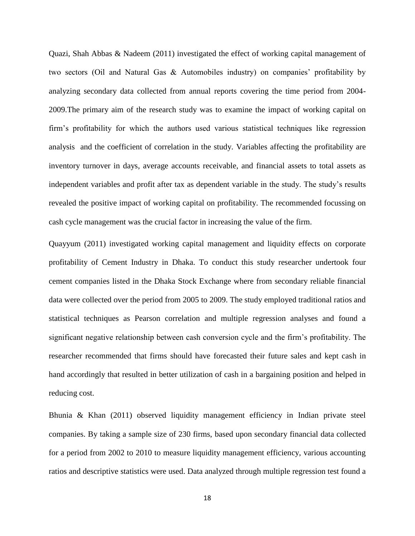Quazi, Shah Abbas & Nadeem (2011) investigated the effect of working capital management of two sectors (Oil and Natural Gas & Automobiles industry) on companies' profitability by analyzing secondary data collected from annual reports covering the time period from 2004- 2009.The primary aim of the research study was to examine the impact of working capital on firm's profitability for which the authors used various statistical techniques like regression analysis and the coefficient of correlation in the study. Variables affecting the profitability are inventory turnover in days, average accounts receivable, and financial assets to total assets as independent variables and profit after tax as dependent variable in the study. The study's results revealed the positive impact of working capital on profitability. The recommended focussing on cash cycle management was the crucial factor in increasing the value of the firm.

Quayyum (2011) investigated working capital management and liquidity effects on corporate profitability of Cement Industry in Dhaka. To conduct this study researcher undertook four cement companies listed in the Dhaka Stock Exchange where from secondary reliable financial data were collected over the period from 2005 to 2009. The study employed traditional ratios and statistical techniques as Pearson correlation and multiple regression analyses and found a significant negative relationship between cash conversion cycle and the firm's profitability. The researcher recommended that firms should have forecasted their future sales and kept cash in hand accordingly that resulted in better utilization of cash in a bargaining position and helped in reducing cost.

Bhunia & Khan (2011) observed liquidity management efficiency in Indian private steel companies. By taking a sample size of 230 firms, based upon secondary financial data collected for a period from 2002 to 2010 to measure liquidity management efficiency, various accounting ratios and descriptive statistics were used. Data analyzed through multiple regression test found a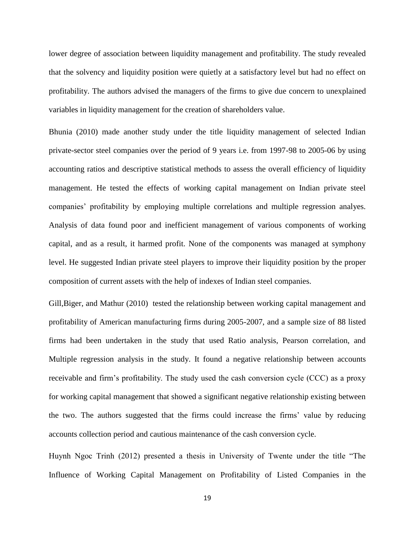lower degree of association between liquidity management and profitability. The study revealed that the solvency and liquidity position were quietly at a satisfactory level but had no effect on profitability. The authors advised the managers of the firms to give due concern to unexplained variables in liquidity management for the creation of shareholders value.

Bhunia (2010) made another study under the title liquidity management of selected Indian private-sector steel companies over the period of 9 years i.e. from 1997-98 to 2005-06 by using accounting ratios and descriptive statistical methods to assess the overall efficiency of liquidity management. He tested the effects of working capital management on Indian private steel companies' profitability by employing multiple correlations and multiple regression analyes. Analysis of data found poor and inefficient management of various components of working capital, and as a result, it harmed profit. None of the components was managed at symphony level. He suggested Indian private steel players to improve their liquidity position by the proper composition of current assets with the help of indexes of Indian steel companies.

Gill, Biger, and Mathur (2010) tested the relationship between working capital management and profitability of American manufacturing firms during 2005-2007, and a sample size of 88 listed firms had been undertaken in the study that used Ratio analysis, Pearson correlation, and Multiple regression analysis in the study. It found a negative relationship between accounts receivable and firm's profitability. The study used the cash conversion cycle (CCC) as a proxy for working capital management that showed a significant negative relationship existing between the two. The authors suggested that the firms could increase the firms' value by reducing accounts collection period and cautious maintenance of the cash conversion cycle.

Huynh Ngoc Trinh (2012) presented a thesis in University of Twente under the title "The Influence of Working Capital Management on Profitability of Listed Companies in the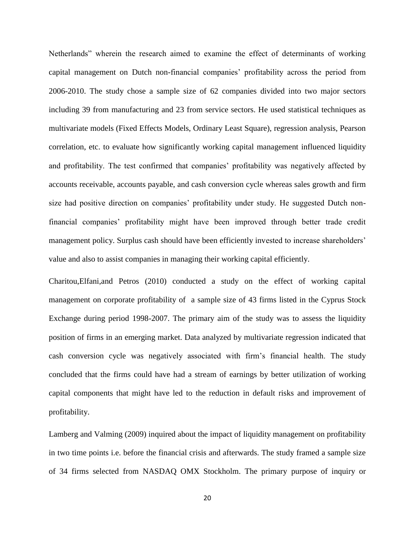Netherlands" wherein the research aimed to examine the effect of determinants of working capital management on Dutch non-financial companies' profitability across the period from 2006-2010. The study chose a sample size of 62 companies divided into two major sectors including 39 from manufacturing and 23 from service sectors. He used statistical techniques as multivariate models (Fixed Effects Models, Ordinary Least Square), regression analysis, Pearson correlation, etc. to evaluate how significantly working capital management influenced liquidity and profitability. The test confirmed that companies' profitability was negatively affected by accounts receivable, accounts payable, and cash conversion cycle whereas sales growth and firm size had positive direction on companies' profitability under study. He suggested Dutch nonfinancial companies' profitability might have been improved through better trade credit management policy. Surplus cash should have been efficiently invested to increase shareholders' value and also to assist companies in managing their working capital efficiently.

Charitou,Elfani,and Petros (2010) conducted a study on the effect of working capital management on corporate profitability of a sample size of 43 firms listed in the Cyprus Stock Exchange during period 1998-2007. The primary aim of the study was to assess the liquidity position of firms in an emerging market. Data analyzed by multivariate regression indicated that cash conversion cycle was negatively associated with firm's financial health. The study concluded that the firms could have had a stream of earnings by better utilization of working capital components that might have led to the reduction in default risks and improvement of profitability.

Lamberg and Valming (2009) inquired about the impact of liquidity management on profitability in two time points i.e. before the financial crisis and afterwards. The study framed a sample size of 34 firms selected from NASDAQ OMX Stockholm. The primary purpose of inquiry or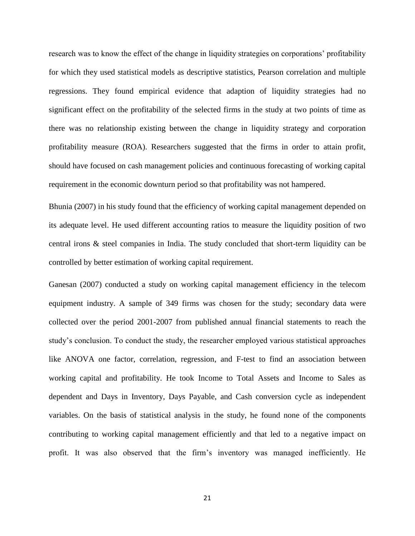research was to know the effect of the change in liquidity strategies on corporations' profitability for which they used statistical models as descriptive statistics, Pearson correlation and multiple regressions. They found empirical evidence that adaption of liquidity strategies had no significant effect on the profitability of the selected firms in the study at two points of time as there was no relationship existing between the change in liquidity strategy and corporation profitability measure (ROA). Researchers suggested that the firms in order to attain profit, should have focused on cash management policies and continuous forecasting of working capital requirement in the economic downturn period so that profitability was not hampered.

Bhunia (2007) in his study found that the efficiency of working capital management depended on its adequate level. He used different accounting ratios to measure the liquidity position of two central irons & steel companies in India. The study concluded that short-term liquidity can be controlled by better estimation of working capital requirement.

Ganesan (2007) conducted a study on working capital management efficiency in the telecom equipment industry. A sample of 349 firms was chosen for the study; secondary data were collected over the period 2001-2007 from published annual financial statements to reach the study's conclusion. To conduct the study, the researcher employed various statistical approaches like ANOVA one factor, correlation, regression, and F-test to find an association between working capital and profitability. He took Income to Total Assets and Income to Sales as dependent and Days in Inventory, Days Payable, and Cash conversion cycle as independent variables. On the basis of statistical analysis in the study, he found none of the components contributing to working capital management efficiently and that led to a negative impact on profit. It was also observed that the firm's inventory was managed inefficiently. He

21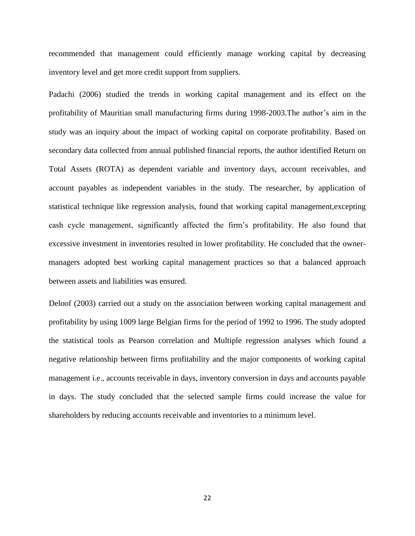recommended that management could efficiently manage working capital by decreasing inventory level and get more credit support from suppliers.

Padachi (2006) studied the trends in working capital management and its effect on the profitability of Mauritian small manufacturing firms during 1998-2003.The author's aim in the study was an inquiry about the impact of working capital on corporate profitability. Based on secondary data collected from annual published financial reports, the author identified Return on Total Assets (ROTA) as dependent variable and inventory days, account receivables, and account payables as independent variables in the study. The researcher, by application of statistical technique like regression analysis, found that working capital management,excepting cash cycle management, significantly affected the firm's profitability. He also found that excessive investment in inventories resulted in lower profitability. He concluded that the ownermanagers adopted best working capital management practices so that a balanced approach between assets and liabilities was ensured.

Deloof (2003) carried out a study on the association between working capital management and profitability by using 1009 large Belgian firms for the period of 1992 to 1996. The study adopted the statistical tools as Pearson correlation and Multiple regression analyses which found a negative relationship between firms profitability and the major components of working capital management i.e., accounts receivable in days, inventory conversion in days and accounts payable in days. The study concluded that the selected sample firms could increase the value for shareholders by reducing accounts receivable and inventories to a minimum level.

22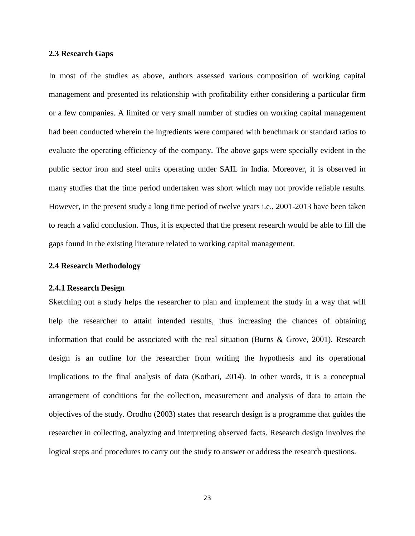### **2.3 Research Gaps**

In most of the studies as above, authors assessed various composition of working capital management and presented its relationship with profitability either considering a particular firm or a few companies. A limited or very small number of studies on working capital management had been conducted wherein the ingredients were compared with benchmark or standard ratios to evaluate the operating efficiency of the company. The above gaps were specially evident in the public sector iron and steel units operating under SAIL in India. Moreover, it is observed in many studies that the time period undertaken was short which may not provide reliable results. However, in the present study a long time period of twelve years i.e., 2001-2013 have been taken to reach a valid conclusion. Thus, it is expected that the present research would be able to fill the gaps found in the existing literature related to working capital management.

## **2.4 Research Methodology**

#### **2.4.1 Research Design**

Sketching out a study helps the researcher to plan and implement the study in a way that will help the researcher to attain intended results, thus increasing the chances of obtaining information that could be associated with the real situation (Burns & Grove, 2001). Research design is an outline for the researcher from writing the hypothesis and its operational implications to the final analysis of data (Kothari, 2014). In other words, it is a conceptual arrangement of conditions for the collection, measurement and analysis of data to attain the objectives of the study. Orodho (2003) states that research design is a programme that guides the researcher in collecting, analyzing and interpreting observed facts. Research design involves the logical steps and procedures to carry out the study to answer or address the research questions.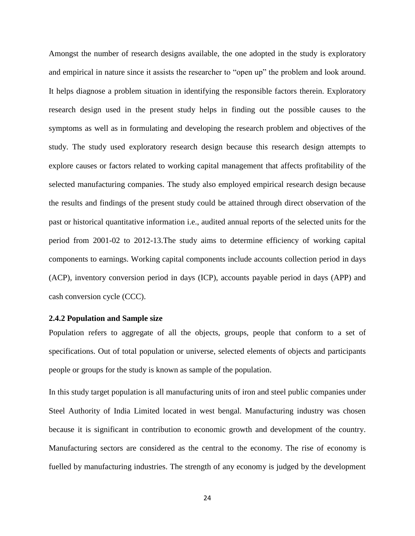Amongst the number of research designs available, the one adopted in the study is exploratory and empirical in nature since it assists the researcher to "open up" the problem and look around. It helps diagnose a problem situation in identifying the responsible factors therein. Exploratory research design used in the present study helps in finding out the possible causes to the symptoms as well as in formulating and developing the research problem and objectives of the study. The study used exploratory research design because this research design attempts to explore causes or factors related to working capital management that affects profitability of the selected manufacturing companies. The study also employed empirical research design because the results and findings of the present study could be attained through direct observation of the past or historical quantitative information i.e., audited annual reports of the selected units for the period from 2001-02 to 2012-13.The study aims to determine efficiency of working capital components to earnings. Working capital components include accounts collection period in days (ACP), inventory conversion period in days (ICP), accounts payable period in days (APP) and cash conversion cycle (CCC).

#### **2.4.2 Population and Sample size**

Population refers to aggregate of all the objects, groups, people that conform to a set of specifications. Out of total population or universe, selected elements of objects and participants people or groups for the study is known as sample of the population.

In this study target population is all manufacturing units of iron and steel public companies under Steel Authority of India Limited located in west bengal. Manufacturing industry was chosen because it is significant in contribution to economic growth and development of the country. Manufacturing sectors are considered as the central to the economy. The rise of economy is fuelled by manufacturing industries. The strength of any economy is judged by the development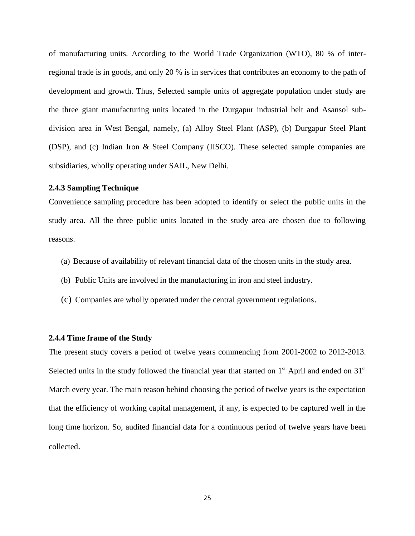of manufacturing units. According to the World Trade Organization (WTO), 80 % of interregional trade is in goods, and only 20 % is in services that contributes an economy to the path of development and growth. Thus, Selected sample units of aggregate population under study are the three giant manufacturing units located in the Durgapur industrial belt and Asansol subdivision area in West Bengal, namely, (a) Alloy Steel Plant (ASP), (b) Durgapur Steel Plant (DSP), and (c) Indian Iron & Steel Company (IISCO). These selected sample companies are subsidiaries, wholly operating under SAIL, New Delhi.

## **2.4.3 Sampling Technique**

Convenience sampling procedure has been adopted to identify or select the public units in the study area. All the three public units located in the study area are chosen due to following reasons.

- (a) Because of availability of relevant financial data of the chosen units in the study area.
- (b) Public Units are involved in the manufacturing in iron and steel industry.
- (c) Companies are wholly operated under the central government regulations.

#### **2.4.4 Time frame of the Study**

The present study covers a period of twelve years commencing from 2001-2002 to 2012-2013. Selected units in the study followed the financial year that started on  $1<sup>st</sup>$  April and ended on  $31<sup>st</sup>$ March every year. The main reason behind choosing the period of twelve years is the expectation that the efficiency of working capital management, if any, is expected to be captured well in the long time horizon. So, audited financial data for a continuous period of twelve years have been collected.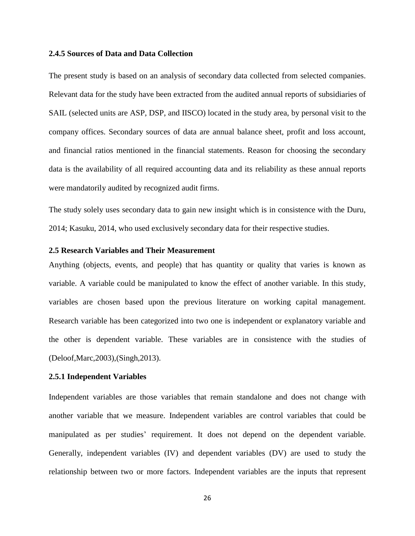#### **2.4.5 Sources of Data and Data Collection**

The present study is based on an analysis of secondary data collected from selected companies. Relevant data for the study have been extracted from the audited annual reports of subsidiaries of SAIL (selected units are ASP, DSP, and IISCO) located in the study area, by personal visit to the company offices. Secondary sources of data are annual balance sheet, profit and loss account, and financial ratios mentioned in the financial statements. Reason for choosing the secondary data is the availability of all required accounting data and its reliability as these annual reports were mandatorily audited by recognized audit firms.

The study solely uses secondary data to gain new insight which is in consistence with the Duru, 2014; Kasuku, 2014, who used exclusively secondary data for their respective studies.

## **2.5 Research Variables and Their Measurement**

Anything (objects, events, and people) that has quantity or quality that varies is known as variable. A variable could be manipulated to know the effect of another variable. In this study, variables are chosen based upon the previous literature on working capital management. Research variable has been categorized into two one is independent or explanatory variable and the other is dependent variable. These variables are in consistence with the studies of (Deloof,Marc,2003),(Singh,2013).

#### **2.5.1 Independent Variables**

Independent variables are those variables that remain standalone and does not change with another variable that we measure. Independent variables are control variables that could be manipulated as per studies' requirement. It does not depend on the dependent variable. Generally, independent variables (IV) and dependent variables (DV) are used to study the relationship between two or more factors. Independent variables are the inputs that represent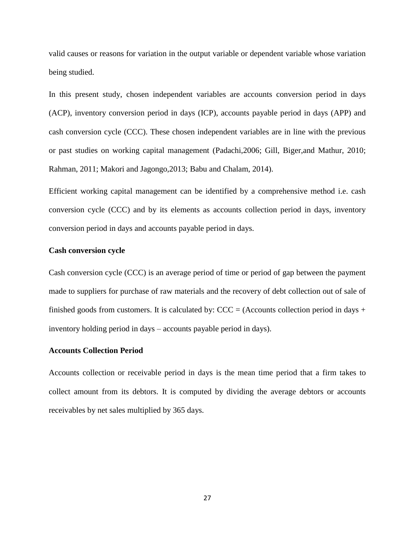valid causes or reasons for variation in the output variable or dependent variable whose variation being studied.

In this present study, chosen independent variables are accounts conversion period in days (ACP), inventory conversion period in days (ICP), accounts payable period in days (APP) and cash conversion cycle (CCC). These chosen independent variables are in line with the previous or past studies on working capital management (Padachi,2006; Gill, Biger,and Mathur, 2010; Rahman, 2011; Makori and Jagongo,2013; Babu and Chalam, 2014).

Efficient working capital management can be identified by a comprehensive method i.e. cash conversion cycle (CCC) and by its elements as accounts collection period in days, inventory conversion period in days and accounts payable period in days.

## **Cash conversion cycle**

Cash conversion cycle (CCC) is an average period of time or period of gap between the payment made to suppliers for purchase of raw materials and the recovery of debt collection out of sale of finished goods from customers. It is calculated by:  $CCC = (Accounts$  collection period in days + inventory holding period in days – accounts payable period in days).

#### **Accounts Collection Period**

Accounts collection or receivable period in days is the mean time period that a firm takes to collect amount from its debtors. It is computed by dividing the average debtors or accounts receivables by net sales multiplied by 365 days.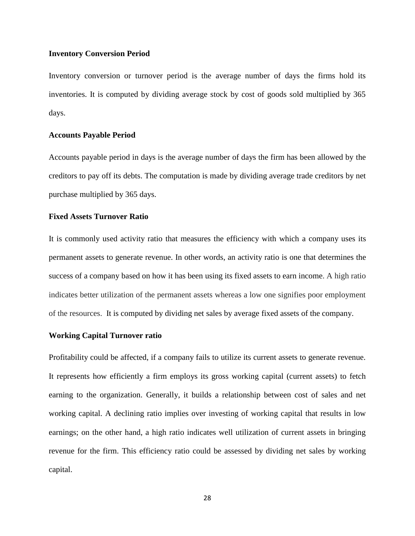## **Inventory Conversion Period**

Inventory conversion or turnover period is the average number of days the firms hold its inventories. It is computed by dividing average stock by cost of goods sold multiplied by 365 days.

## **Accounts Payable Period**

Accounts payable period in days is the average number of days the firm has been allowed by the creditors to pay off its debts. The computation is made by dividing average trade creditors by net purchase multiplied by 365 days.

# **Fixed Assets Turnover Ratio**

It is commonly used activity ratio that measures the efficiency with which a company uses its permanent assets to generate revenue. In other words, an activity ratio is one that determines the success of a company based on how it has been using its fixed assets to earn income. A high ratio indicates better utilization of the permanent assets whereas a low one signifies poor employment of the resources. It is computed by dividing net sales by average fixed assets of the company.

## **Working Capital Turnover ratio**

Profitability could be affected, if a company fails to utilize its current assets to generate revenue. It represents how efficiently a firm employs its gross working capital (current assets) to fetch earning to the organization. Generally, it builds a relationship between cost of sales and net working capital. A declining ratio implies over investing of working capital that results in low earnings; on the other hand, a high ratio indicates well utilization of current assets in bringing revenue for the firm. This efficiency ratio could be assessed by dividing net sales by working capital.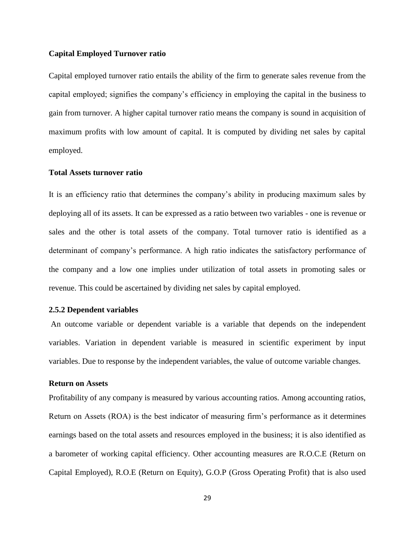## **Capital Employed Turnover ratio**

Capital employed turnover ratio entails the ability of the firm to generate sales revenue from the capital employed; signifies the company's efficiency in employing the capital in the business to gain from turnover. A higher capital turnover ratio means the company is sound in acquisition of maximum profits with low amount of capital. It is computed by dividing net sales by capital employed.

## **Total Assets turnover ratio**

It is an efficiency ratio that determines the company's ability in producing maximum sales by deploying all of its assets. It can be expressed as a ratio between two variables - one is revenue or sales and the other is total assets of the company. Total turnover ratio is identified as a determinant of company's performance. A high ratio indicates the satisfactory performance of the company and a low one implies under utilization of total assets in promoting sales or revenue. This could be ascertained by dividing net sales by capital employed.

#### **2.5.2 Dependent variables**

An outcome variable or dependent variable is a variable that depends on the independent variables. Variation in dependent variable is measured in scientific experiment by input variables. Due to response by the independent variables, the value of outcome variable changes.

## **Return on Assets**

Profitability of any company is measured by various accounting ratios. Among accounting ratios, Return on Assets (ROA) is the best indicator of measuring firm's performance as it determines earnings based on the total assets and resources employed in the business; it is also identified as a barometer of working capital efficiency. Other accounting measures are R.O.C.E (Return on Capital Employed), R.O.E (Return on Equity), G.O.P (Gross Operating Profit) that is also used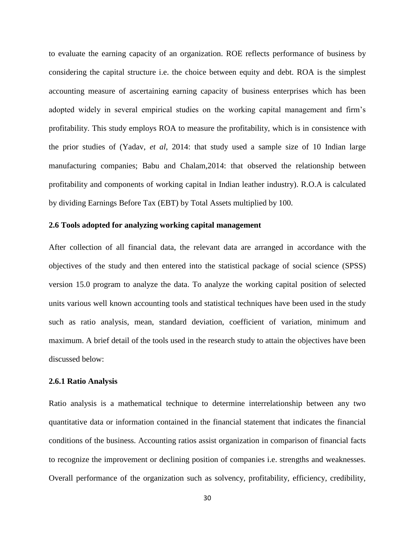to evaluate the earning capacity of an organization. ROE reflects performance of business by considering the capital structure i.e. the choice between equity and debt. ROA is the simplest accounting measure of ascertaining earning capacity of business enterprises which has been adopted widely in several empirical studies on the working capital management and firm's profitability. This study employs ROA to measure the profitability, which is in consistence with the prior studies of (Yadav, *et al*, 2014: that study used a sample size of 10 Indian large manufacturing companies; Babu and Chalam,2014: that observed the relationship between profitability and components of working capital in Indian leather industry). R.O.A is calculated by dividing Earnings Before Tax (EBT) by Total Assets multiplied by 100.

## **2.6 Tools adopted for analyzing working capital management**

After collection of all financial data, the relevant data are arranged in accordance with the objectives of the study and then entered into the statistical package of social science (SPSS) version 15.0 program to analyze the data. To analyze the working capital position of selected units various well known accounting tools and statistical techniques have been used in the study such as ratio analysis, mean, standard deviation, coefficient of variation, minimum and maximum. A brief detail of the tools used in the research study to attain the objectives have been discussed below:

#### **2.6.1 Ratio Analysis**

Ratio analysis is a mathematical technique to determine interrelationship between any two quantitative data or information contained in the financial statement that indicates the financial conditions of the business. Accounting ratios assist organization in comparison of financial facts to recognize the improvement or declining position of companies i.e. strengths and weaknesses. Overall performance of the organization such as solvency, profitability, efficiency, credibility,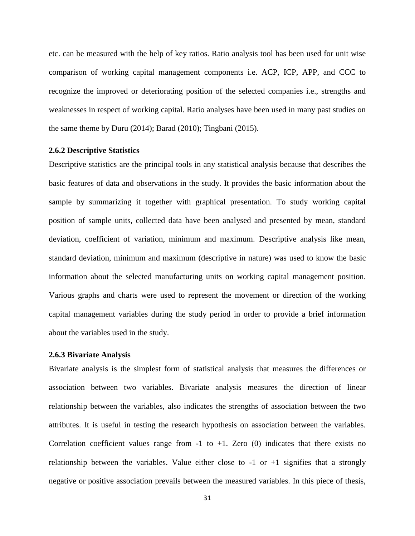etc. can be measured with the help of key ratios. Ratio analysis tool has been used for unit wise comparison of working capital management components i.e. ACP, ICP, APP, and CCC to recognize the improved or deteriorating position of the selected companies i.e., strengths and weaknesses in respect of working capital. Ratio analyses have been used in many past studies on the same theme by Duru (2014); Barad (2010); Tingbani (2015).

#### **2.6.2 Descriptive Statistics**

Descriptive statistics are the principal tools in any statistical analysis because that describes the basic features of data and observations in the study. It provides the basic information about the sample by summarizing it together with graphical presentation. To study working capital position of sample units, collected data have been analysed and presented by mean, standard deviation, coefficient of variation, minimum and maximum. Descriptive analysis like mean, standard deviation, minimum and maximum (descriptive in nature) was used to know the basic information about the selected manufacturing units on working capital management position. Various graphs and charts were used to represent the movement or direction of the working capital management variables during the study period in order to provide a brief information about the variables used in the study.

#### **2.6.3 Bivariate Analysis**

Bivariate analysis is the simplest form of statistical analysis that measures the differences or association between two variables. Bivariate analysis measures the direction of linear relationship between the variables, also indicates the strengths of association between the two attributes. It is useful in testing the research hypothesis on association between the variables. Correlation coefficient values range from  $-1$  to  $+1$ . Zero (0) indicates that there exists no relationship between the variables. Value either close to  $-1$  or  $+1$  signifies that a strongly negative or positive association prevails between the measured variables. In this piece of thesis,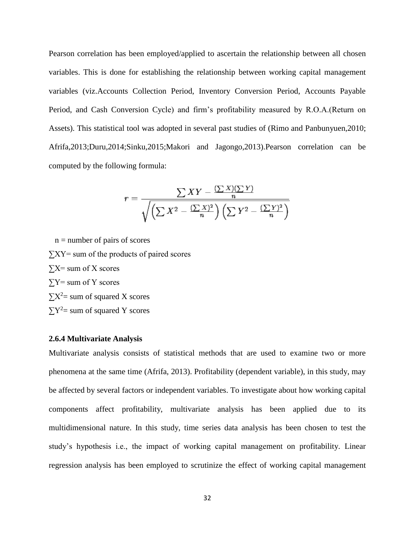Pearson correlation has been employed/applied to ascertain the relationship between all chosen variables. This is done for establishing the relationship between working capital management variables (viz.Accounts Collection Period, Inventory Conversion Period, Accounts Payable Period, and Cash Conversion Cycle) and firm's profitability measured by R.O.A.(Return on Assets). This statistical tool was adopted in several past studies of (Rimo and Panbunyuen,2010; Afrifa,2013;Duru,2014;Sinku,2015;Makori and Jagongo,2013).Pearson correlation can be computed by the following formula:

$$
r = \frac{\sum XY - \frac{(\sum X)(\sum Y)}{n}}{\sqrt{\left(\sum X^2 - \frac{(\sum X)^2}{n}\right)\left(\sum Y^2 - \frac{(\sum Y)^2}{n}\right)}}
$$

 $n =$  number of pairs of scores  $\sum XY$  sum of the products of paired scores  $\Sigma X$ = sum of X scores  $\Sigma$ Y= sum of Y scores  $\sum X^2$ = sum of squared X scores  $\sum Y^2$  sum of squared Y scores

#### **2.6.4 Multivariate Analysis**

Multivariate analysis consists of statistical methods that are used to examine two or more phenomena at the same time (Afrifa, 2013). Profitability (dependent variable), in this study, may be affected by several factors or independent variables. To investigate about how working capital components affect profitability, multivariate analysis has been applied due to its multidimensional nature. In this study, time series data analysis has been chosen to test the study's hypothesis i.e., the impact of working capital management on profitability. Linear regression analysis has been employed to scrutinize the effect of working capital management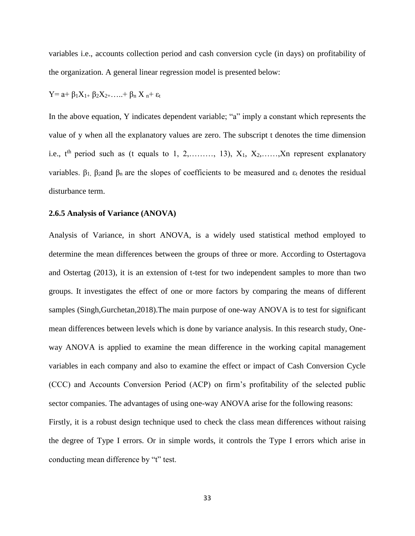variables i.e., accounts collection period and cash conversion cycle (in days) on profitability of the organization. A general linear regression model is presented below:

$$
Y = a + \beta_1 X_{1+} \beta_2 X_{2+} \ldots + \beta_n X_n + \epsilon_t
$$

In the above equation, Y indicates dependent variable; "a" imply a constant which represents the value of y when all the explanatory values are zero. The subscript t denotes the time dimension i.e.,  $t^{th}$  period such as (t equals to 1, 2, ..., 13),  $X_1, X_2, \ldots, X_n$  represent explanatory variables.  $\beta_1$ ,  $\beta_2$ and  $\beta_n$  are the slopes of coefficients to be measured and  $\epsilon_t$  denotes the residual disturbance term.

#### **2.6.5 Analysis of Variance (ANOVA)**

Analysis of Variance, in short ANOVA, is a widely used statistical method employed to determine the mean differences between the groups of three or more. According to Ostertagova and Ostertag (2013), it is an extension of t-test for two independent samples to more than two groups. It investigates the effect of one or more factors by comparing the means of different samples (Singh,Gurchetan,2018).The main purpose of one-way ANOVA is to test for significant mean differences between levels which is done by variance analysis. In this research study, Oneway ANOVA is applied to examine the mean difference in the working capital management variables in each company and also to examine the effect or impact of Cash Conversion Cycle (CCC) and Accounts Conversion Period (ACP) on firm's profitability of the selected public sector companies. The advantages of using one-way ANOVA arise for the following reasons: Firstly, it is a robust design technique used to check the class mean differences without raising the degree of Type I errors. Or in simple words, it controls the Type I errors which arise in conducting mean difference by "t" test.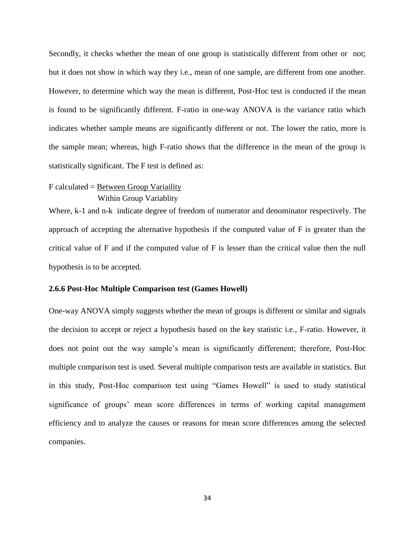Secondly, it checks whether the mean of one group is statistically different from other or not; but it does not show in which way they i.e., mean of one sample, are different from one another. However, to determine which way the mean is different, Post-Hoc test is conducted if the mean is found to be significantly different. F-ratio in one-way ANOVA is the variance ratio which indicates whether sample means are significantly different or not. The lower the ratio, more is the sample mean; whereas, high F-ratio shows that the difference in the mean of the group is statistically significant. The F test is defined as:

# F calculated = Between Group Variaility

Within Group Variablity

Where, k-1 and n-k indicate degree of freedom of numerator and denominator respectively. The approach of accepting the alternative hypothesis if the computed value of F is greater than the critical value of F and if the computed value of F is lesser than the critical value then the null hypothesis is to be accepted.

## **2.6.6 Post-Hoc Multiple Comparison test (Games Howell)**

One-way ANOVA simply suggests whether the mean of groups is different or similar and signals the decision to accept or reject a hypothesis based on the key statistic i.e., F-ratio. However, it does not point out the way sample's mean is significantly differenent; therefore, Post-Hoc multiple comparison test is used. Several multiple comparison tests are available in statistics. But in this study, Post-Hoc comparison test using "Games Howell" is used to study statistical significance of groups' mean score differences in terms of working capital management efficiency and to analyze the causes or reasons for mean score differences among the selected companies.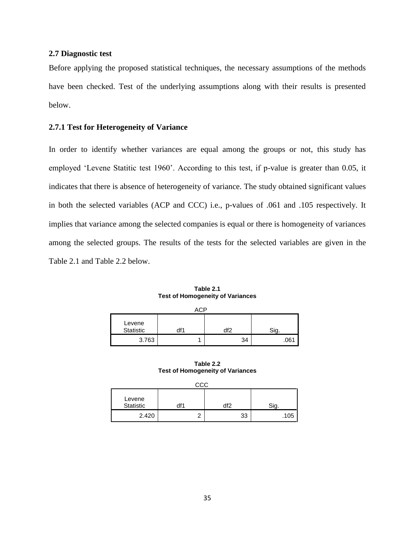# **2.7 Diagnostic test**

Before applying the proposed statistical techniques, the necessary assumptions of the methods have been checked. Test of the underlying assumptions along with their results is presented below.

## **2.7.1 Test for Heterogeneity of Variance**

In order to identify whether variances are equal among the groups or not, this study has employed 'Levene Statitic test 1960'. According to this test, if p-value is greater than 0.05, it indicates that there is absence of heterogeneity of variance. The study obtained significant values in both the selected variables (ACP and CCC) i.e., p-values of .061 and .105 respectively. It implies that variance among the selected companies is equal or there is homogeneity of variances among the selected groups. The results of the tests for the selected variables are given in the Table 2.1 and Table 2.2 below.

| Table 2.1                               |
|-----------------------------------------|
| <b>Test of Homogeneity of Variances</b> |

| ^^n                 |     |    |      |  |  |  |  |
|---------------------|-----|----|------|--|--|--|--|
| Levene<br>Statistic | df′ |    |      |  |  |  |  |
| 3.763               |     | 34 | .061 |  |  |  |  |

**Table 2.2 Test of Homogeneity of Variances**

| CCC                 |     |     |      |  |  |  |  |  |
|---------------------|-----|-----|------|--|--|--|--|--|
| Levene<br>Statistic | df1 | ብቶር |      |  |  |  |  |  |
| 2.420               |     | ົດ  | .105 |  |  |  |  |  |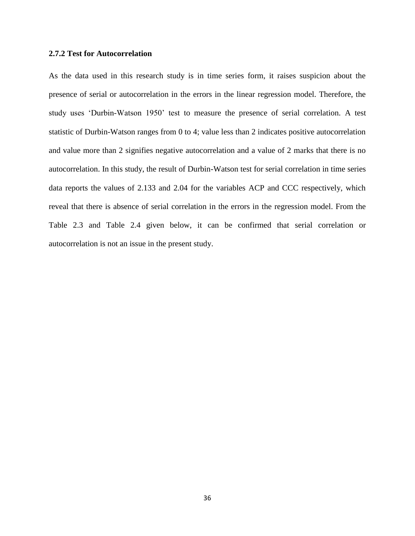# **2.7.2 Test for Autocorrelation**

As the data used in this research study is in time series form, it raises suspicion about the presence of serial or autocorrelation in the errors in the linear regression model. Therefore, the study uses 'Durbin-Watson 1950' test to measure the presence of serial correlation. A test statistic of Durbin-Watson ranges from 0 to 4; value less than 2 indicates positive autocorrelation and value more than 2 signifies negative autocorrelation and a value of 2 marks that there is no autocorrelation. In this study, the result of Durbin-Watson test for serial correlation in time series data reports the values of 2.133 and 2.04 for the variables ACP and CCC respectively, which reveal that there is absence of serial correlation in the errors in the regression model. From the Table 2.3 and Table 2.4 given below, it can be confirmed that serial correlation or autocorrelation is not an issue in the present study.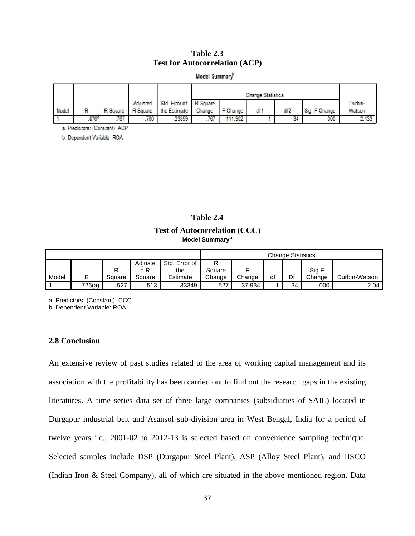## **Table 2.3 Test for Autocorrelation (ACP)**

Model Summary<sup>p</sup>

|       |                   |     |          |                                | <b>Change Statistics</b> |                   |      |     |               |         |
|-------|-------------------|-----|----------|--------------------------------|--------------------------|-------------------|------|-----|---------------|---------|
|       |                   |     | Adjusted | Std. Error of R Square         |                          |                   |      |     |               | Durbin- |
| Model |                   |     |          | R Square R Square the Estimate |                          | Change   F Change | di 1 | df2 | Sig. F Change | Watson  |
|       | .876 <sup>h</sup> | 767 | 760      | 23859                          | 767                      | 111,902           |      | 34  | 000           | 2.133   |

a. Predictors: (Constant), ACP

b. Dependent Variable: ROA

**Table 2.4 Test of Autocorrelation (CCC) Model Summary<sup>b</sup>**

|       |         |        |         |               | <b>Change Statistics</b> |        |    |    |        |               |
|-------|---------|--------|---------|---------------|--------------------------|--------|----|----|--------|---------------|
|       |         |        | Adiuste | Std. Error of | ⋼                        |        |    |    |        |               |
|       |         | n      | d R     | the           | Square                   |        |    |    | Sig.F  |               |
| Model |         | Square | Square  | Estimate      | Change                   | Change | df | Df | Change | Durbin-Watson |
|       | .726(a) | .527   | .513    | .33349        | .527                     | 37.934 |    | 34 | .000   | 2.04          |

a Predictors: (Constant), CCC

b Dependent Variable: ROA

# **2.8 Conclusion**

An extensive review of past studies related to the area of working capital management and its association with the profitability has been carried out to find out the research gaps in the existing literatures. A time series data set of three large companies (subsidiaries of SAIL) located in Durgapur industrial belt and Asansol sub-division area in West Bengal, India for a period of twelve years i.e., 2001-02 to 2012-13 is selected based on convenience sampling technique. Selected samples include DSP (Durgapur Steel Plant), ASP (Alloy Steel Plant), and IISCO (Indian Iron & Steel Company), all of which are situated in the above mentioned region. Data